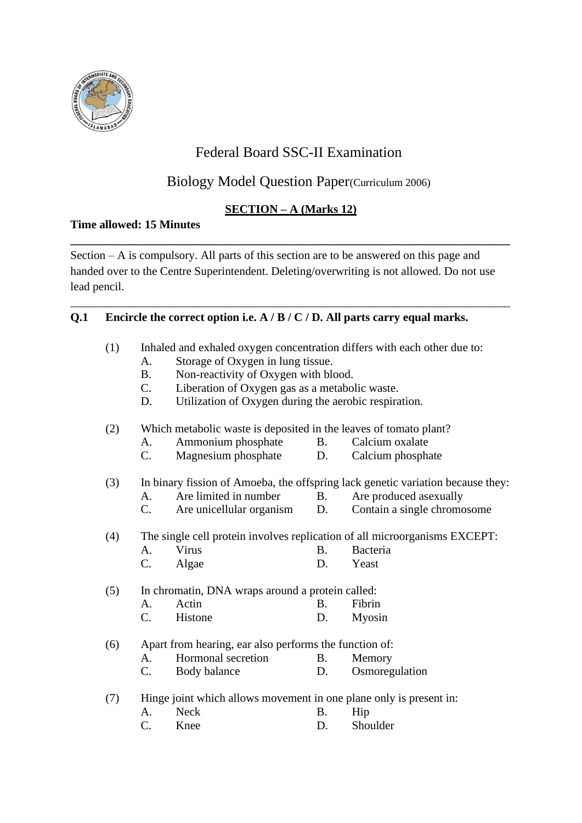

# Federal Board SSC-II Examination

# Biology Model Question Paper(Curriculum 2006)

# **SECTION – A (Marks 12)**

**\_\_\_\_\_\_\_\_\_\_\_\_\_\_\_\_\_\_\_\_\_\_\_\_\_\_\_\_\_\_\_\_\_\_\_\_\_\_\_\_\_\_\_\_\_\_\_\_\_\_\_\_\_\_\_\_\_\_\_\_\_\_\_\_\_\_\_\_\_\_\_\_\_\_\_**

\_\_\_\_\_\_\_\_\_\_\_\_\_\_\_\_\_\_\_\_\_\_\_\_\_\_\_\_\_\_\_\_\_\_\_\_\_\_\_\_\_\_\_\_\_\_\_\_\_\_\_\_\_\_\_\_\_\_\_\_\_\_\_\_\_\_\_\_\_\_\_\_\_\_\_

# **Time allowed: 15 Minutes**

Section – A is compulsory. All parts of this section are to be answered on this page and handed over to the Centre Superintendent. Deleting/overwriting is not allowed. Do not use lead pencil.

# **Q.1 Encircle the correct option i.e. A / B / C / D. All parts carry equal marks.**

| (1)                                                                                    | Inhaled and exhaled oxygen concentration differs with each other due to: |                                                                    |           |                                                                            |  |
|----------------------------------------------------------------------------------------|--------------------------------------------------------------------------|--------------------------------------------------------------------|-----------|----------------------------------------------------------------------------|--|
|                                                                                        | A.                                                                       | Storage of Oxygen in lung tissue.                                  |           |                                                                            |  |
|                                                                                        | <b>B.</b>                                                                | Non-reactivity of Oxygen with blood.                               |           |                                                                            |  |
| Liberation of Oxygen gas as a metabolic waste.<br>$C_{\cdot}$                          |                                                                          |                                                                    |           |                                                                            |  |
|                                                                                        | D.                                                                       | Utilization of Oxygen during the aerobic respiration.              |           |                                                                            |  |
| Which metabolic waste is deposited in the leaves of tomato plant?<br>(2)               |                                                                          |                                                                    |           |                                                                            |  |
|                                                                                        | A.                                                                       | Ammonium phosphate                                                 | <b>B.</b> | Calcium oxalate                                                            |  |
|                                                                                        | C.                                                                       | Magnesium phosphate                                                | D.        | Calcium phosphate                                                          |  |
| In binary fission of Amoeba, the offspring lack genetic variation because they:<br>(3) |                                                                          |                                                                    |           |                                                                            |  |
|                                                                                        | A.                                                                       | Are limited in number                                              | <b>B.</b> | Are produced asexually                                                     |  |
|                                                                                        | C.                                                                       | Are unicellular organism                                           | D.        | Contain a single chromosome                                                |  |
| (4)                                                                                    |                                                                          |                                                                    |           | The single cell protein involves replication of all microorganisms EXCEPT: |  |
|                                                                                        | A.                                                                       | Virus                                                              | B.        | Bacteria                                                                   |  |
|                                                                                        | $\mathcal{C}$ .                                                          | Algae                                                              | D.        | Yeast                                                                      |  |
| In chromatin, DNA wraps around a protein called:<br>(5)                                |                                                                          |                                                                    |           |                                                                            |  |
|                                                                                        | A.                                                                       | Actin                                                              | <b>B.</b> | Fibrin                                                                     |  |
|                                                                                        | $C_{\cdot}$                                                              | Histone                                                            | D.        | Myosin                                                                     |  |
| Apart from hearing, ear also performs the function of:<br>(6)                          |                                                                          |                                                                    |           |                                                                            |  |
|                                                                                        | $A_{\cdot}$                                                              | Hormonal secretion                                                 | <b>B.</b> | Memory                                                                     |  |
|                                                                                        | C.                                                                       | Body balance                                                       | D.        | Osmoregulation                                                             |  |
| (7)                                                                                    |                                                                          | Hinge joint which allows movement in one plane only is present in: |           |                                                                            |  |
|                                                                                        | A.                                                                       | <b>Neck</b>                                                        | <b>B.</b> | Hip                                                                        |  |
|                                                                                        | $\mathbf{C}$                                                             | Knee                                                               | D.        | Shoulder                                                                   |  |
|                                                                                        |                                                                          |                                                                    |           |                                                                            |  |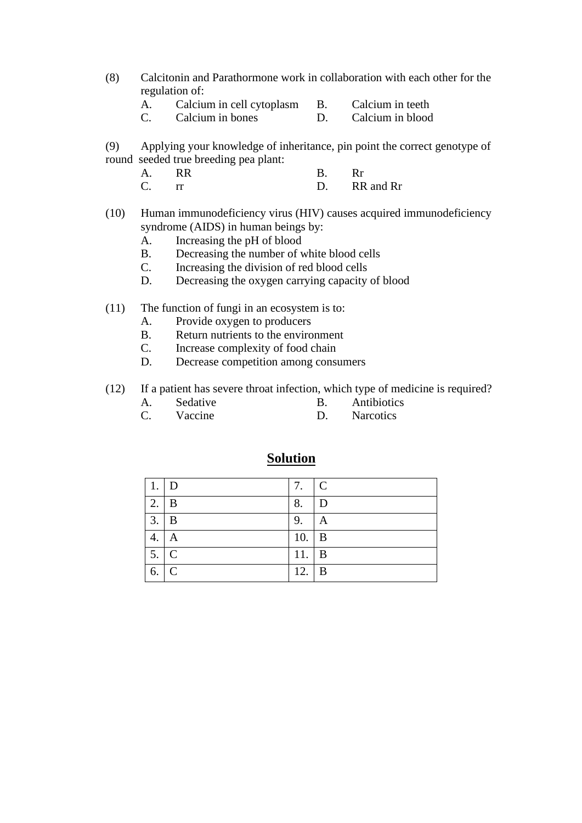- (8) Calcitonin and Parathormone work in collaboration with each other for the regulation of:
	- A. Calcium in cell cytoplasm B. Calcium in teeth
	- C. Calcium in bones D. Calcium in blood
- (9) Applying your knowledge of inheritance, pin point the correct genotype of round seeded true breeding pea plant:

| A.                | <b>RR</b> |              |
|-------------------|-----------|--------------|
| $\mathsf{\Gamma}$ |           | D. RR and Rr |

- (10) Human immunodeficiency virus (HIV) causes acquired immunodeficiency syndrome (AIDS) in human beings by:
	- A. Increasing the pH of blood
	- B. Decreasing the number of white blood cells
	- C. Increasing the division of red blood cells
	- D. Decreasing the oxygen carrying capacity of blood
- (11) The function of fungi in an ecosystem is to:
	- A. Provide oxygen to producers
	- B. Return nutrients to the environment
	- C. Increase complexity of food chain
	- D. Decrease competition among consumers
- (12) If a patient has severe throat infection, which type of medicine is required?
	- A. Sedative B. Antibiotics
	- C. Vaccine D. Narcotics

|                   | $\mathsf{D}$   | 7. $\mid$ C   |                |
|-------------------|----------------|---------------|----------------|
| 2.                | B              | 8.            | D              |
| 3.                | $\mathbf{B}$   | 9.            | $\mathbf{A}$   |
| 4.                | $\overline{A}$ | $10.$ B       |                |
| $5. \overline{C}$ |                | 11.           | $\overline{B}$ |
| 6.                | $\mathbf C$    | 12. $\vert$ B |                |

# **Solution**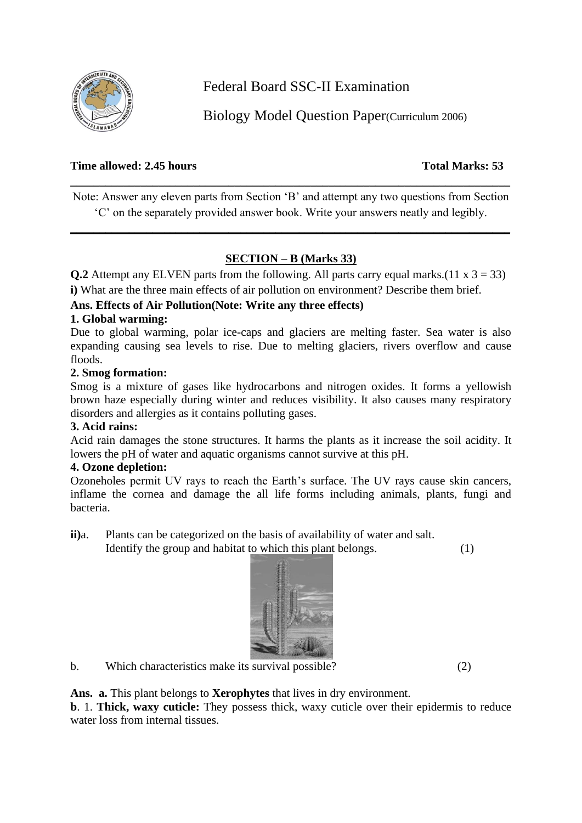

Federal Board SSC-II Examination

Biology Model Question Paper(Curriculum 2006)

# **Time allowed: 2.45 hours Total Marks: 53**

Note: Answer any eleven parts from Section 'B' and attempt any two questions from Section 'C' on the separately provided answer book. Write your answers neatly and legibly.

**\_\_\_\_\_\_\_\_\_\_\_\_\_\_\_\_\_\_\_\_\_\_\_\_\_\_\_\_\_\_\_\_\_\_\_\_\_\_\_\_\_\_\_\_\_\_\_\_\_\_\_\_\_\_\_\_\_\_\_\_\_\_\_\_\_\_\_\_\_\_\_\_\_\_\_**

**\_\_\_\_\_\_\_\_\_\_\_\_\_\_\_\_\_\_\_\_\_\_\_\_\_\_\_\_\_\_\_\_\_\_\_\_\_\_\_\_\_\_\_\_\_\_\_\_\_\_\_\_\_\_\_\_\_\_\_\_\_\_\_\_\_\_\_\_\_\_\_\_\_\_\_**

# **SECTION – B (Marks 33)**

**Q.2** Attempt any ELVEN parts from the following. All parts carry equal marks.(11  $x$  3 = 33) **i)** What are the three main effects of air pollution on environment? Describe them brief.

# **Ans. Effects of Air Pollution(Note: Write any three effects)**

# **1. Global warming:**

Due to global warming, polar ice-caps and glaciers are melting faster. Sea water is also expanding causing sea levels to rise. Due to melting glaciers, rivers overflow and cause floods.

#### **2. Smog formation:**

Smog is a mixture of gases like hydrocarbons and nitrogen oxides. It forms a yellowish brown haze especially during winter and reduces visibility. It also causes many respiratory disorders and allergies as it contains polluting gases.

# **3. Acid rains:**

Acid rain damages the stone structures. It harms the plants as it increase the soil acidity. It lowers the pH of water and aquatic organisms cannot survive at this pH.

# **4. Ozone depletion:**

Ozoneholes permit UV rays to reach the Earth's surface. The UV rays cause skin cancers, inflame the cornea and damage the all life forms including animals, plants, fungi and bacteria.

**ii)**a. Plants can be categorized on the basis of availability of water and salt.

Identify the group and habitat to which this plant belongs. (1)



b. Which characteristics make its survival possible? (2)

**Ans. a.** This plant belongs to **Xerophytes** that lives in dry environment.

**b**. 1. **Thick, waxy cuticle:** They possess thick, waxy cuticle over their epidermis to reduce water loss from internal tissues.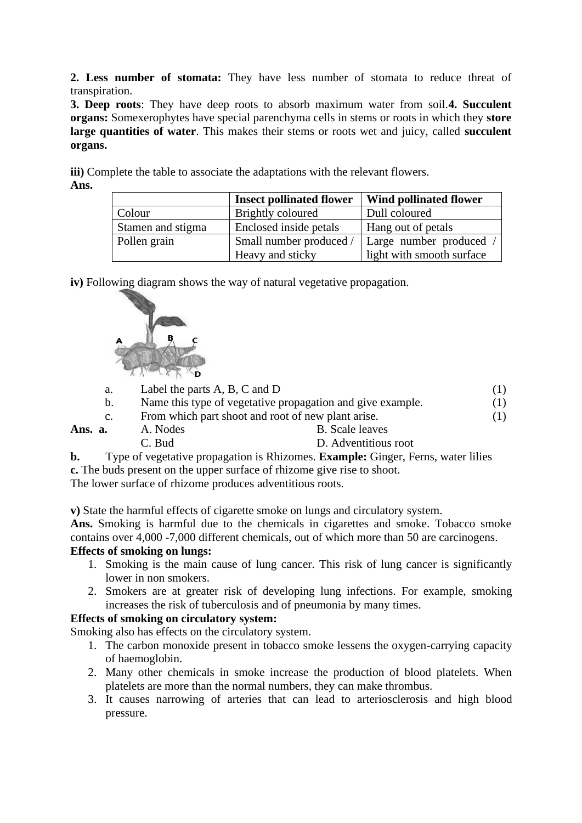**2. Less number of stomata:** They have less number of stomata to reduce threat of transpiration.

**3. Deep roots**: They have deep roots to absorb maximum water from soil.**4. Succulent organs:** Somexerophytes have special parenchyma cells in stems or roots in which they **store large quantities of water**. This makes their stems or roots wet and juicy, called **succulent organs.** 

**iii)** Complete the table to associate the adaptations with the relevant flowers. **Ans.**

|                   | <b>Insect pollinated flower</b> | Wind pollinated flower    |
|-------------------|---------------------------------|---------------------------|
| Colour            | Brightly coloured               | Dull coloured             |
| Stamen and stigma | Enclosed inside petals          | Hang out of petals        |
| Pollen grain      | Small number produced           | Large number produced     |
|                   | Heavy and sticky                | light with smooth surface |

**iv)** Following diagram shows the way of natural vegetative propagation.



| a.          | Label the parts $A$ , $B$ , $C$ and $D$ |                                                            |  |
|-------------|-----------------------------------------|------------------------------------------------------------|--|
| $b_{\cdot}$ |                                         | Name this type of vegetative propagation and give example. |  |
| $c_{\cdot}$ |                                         | From which part shoot and root of new plant arise.         |  |
| Ans. a.     | A. Nodes                                | <b>B.</b> Scale leaves                                     |  |
|             | C. Bud                                  | D. Adventitious root                                       |  |

**b.** Type of vegetative propagation is Rhizomes. **Example:** Ginger, Ferns, water lilies **c.** The buds present on the upper surface of rhizome give rise to shoot.

The lower surface of rhizome produces adventitious roots.

**v)** State the harmful effects of cigarette smoke on lungs and circulatory system.

**Ans.** Smoking is harmful due to the chemicals in cigarettes and smoke. Tobacco smoke contains over 4,000 -7,000 different chemicals, out of which more than 50 are carcinogens. **Effects of smoking on lungs:**

- 1. Smoking is the main cause of lung cancer. This risk of lung cancer is significantly lower in non smokers.
- 2. Smokers are at greater risk of developing lung infections. For example, smoking increases the risk of tuberculosis and of pneumonia by many times.

# **Effects of smoking on circulatory system:**

Smoking also has effects on the circulatory system.

- 1. The carbon monoxide present in tobacco smoke lessens the oxygen-carrying capacity of haemoglobin.
- 2. Many other chemicals in smoke increase the production of blood platelets. When platelets are more than the normal numbers, they can make thrombus.
- 3. It causes narrowing of arteries that can lead to arteriosclerosis and high blood pressure.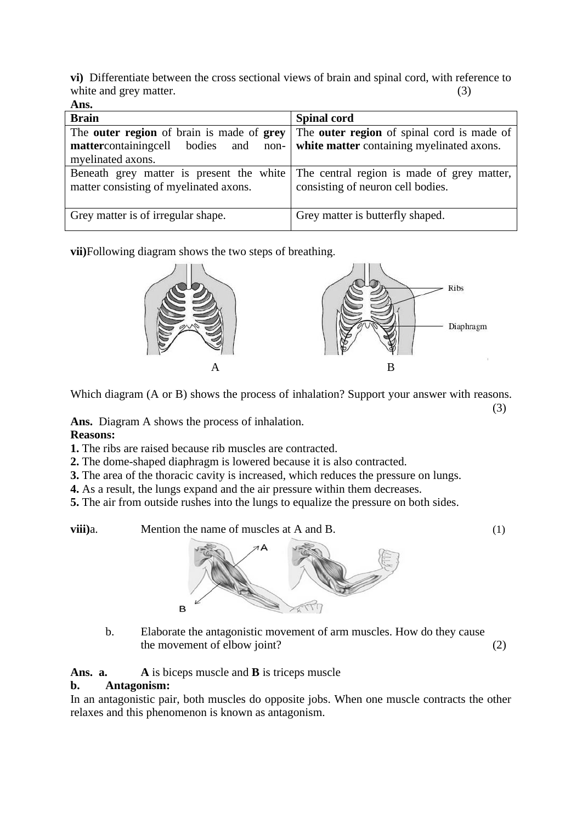**vi)** Differentiate between the cross sectional views of brain and spinal cord, with reference to white and grey matter. (3) **Ans.**

| Ашэ.                                                                                                                    |                                                                                                |
|-------------------------------------------------------------------------------------------------------------------------|------------------------------------------------------------------------------------------------|
| <b>Brain</b>                                                                                                            | <b>Spinal cord</b>                                                                             |
| The <b>outer region</b> of brain is made of <b>grey</b><br>mattercontainingcell bodies<br>and non-<br>myelinated axons. | The <b>outer region</b> of spinal cord is made of<br>white matter containing myelinated axons. |
| Beneath grey matter is present the white<br>matter consisting of myelinated axons.                                      | The central region is made of grey matter,<br>consisting of neuron cell bodies.                |
| Grey matter is of irregular shape.                                                                                      | Grey matter is butterfly shaped.                                                               |

**vii)**Following diagram shows the two steps of breathing.



Which diagram (A or B) shows the process of inhalation? Support your answer with reasons.

(3)

**Ans.** Diagram A shows the process of inhalation.

# **Reasons:**

**1.** The ribs are raised because rib muscles are contracted.

- **2.** The dome-shaped diaphragm is lowered because it is also contracted.
- **3.** The area of the thoracic cavity is increased, which reduces the pressure on lungs.
- **4.** As a result, the lungs expand and the air pressure within them decreases.
- **5.** The air from outside rushes into the lungs to equalize the pressure on both sides.

**viii**)a. Mention the name of muscles at A and B. (1)



b. Elaborate the antagonistic movement of arm muscles. How do they cause the movement of elbow joint? (2)

**Ans. a. A** is biceps muscle and **B** is triceps muscle

# **b. Antagonism:**

In an antagonistic pair, both muscles do opposite jobs. When one muscle contracts the other relaxes and this phenomenon is known as antagonism.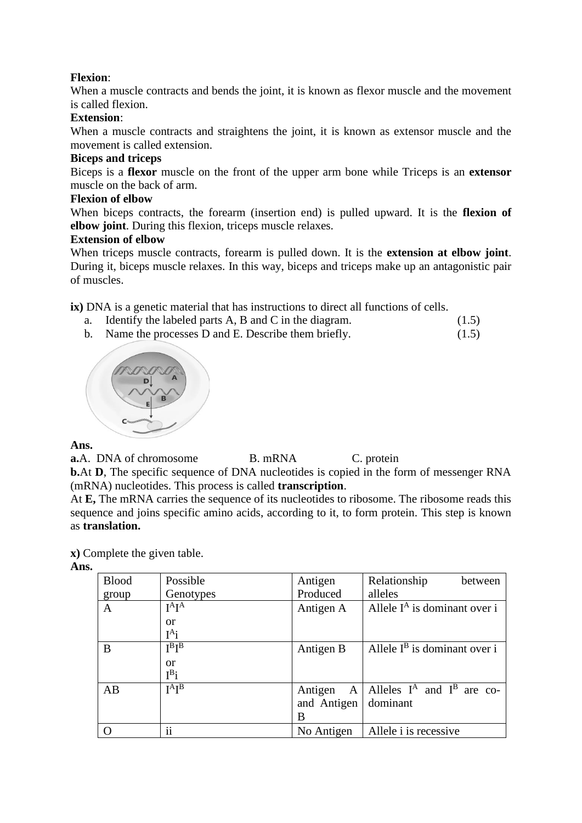# **Flexion**:

When a muscle contracts and bends the joint, it is known as flexor muscle and the movement is called flexion.

#### **Extension**:

When a muscle contracts and straightens the joint, it is known as extensor muscle and the movement is called extension.

# **Biceps and triceps**

Biceps is a **flexor** muscle on the front of the upper arm bone while Triceps is an **extensor**  muscle on the back of arm.

#### **Flexion of elbow**

When biceps contracts, the forearm (insertion end) is pulled upward. It is the **flexion of elbow joint**. During this flexion, triceps muscle relaxes.

#### **Extension of elbow**

When triceps muscle contracts, forearm is pulled down. It is the **extension at elbow joint**. During it, biceps muscle relaxes. In this way, biceps and triceps make up an antagonistic pair of muscles.

**ix**) DNA is a genetic material that has instructions to direct all functions of cells.

- a. Identify the labeled parts A, B and C in the diagram.  $(1.5)$
- b. Name the processes D and E. Describe them briefly. (1.5)



# **Ans.**

**a.**A. DNA of chromosome B. mRNA C. protein **b.**At **D**, The specific sequence of DNA nucleotides is copied in the form of messenger RNA (mRNA) nucleotides. This process is called **transcription**.

At **E.** The mRNA carries the sequence of its nucleotides to ribosome. The ribosome reads this sequence and joins specific amino acids, according to it, to form protein. This step is known as **translation.**

**x)** Complete the given table.

# **Ans.**

| <b>Blood</b> | Possible                   | Antigen     | Relationship<br>between                     |
|--------------|----------------------------|-------------|---------------------------------------------|
| group        | Genotypes                  | Produced    | alleles                                     |
| A            | $I^A$ $I^A$                | Antigen A   | Allele $I^A$ is dominant over i             |
|              | or                         |             |                                             |
|              | $I^A$ i                    |             |                                             |
| B            | $I^B I^B$                  | Antigen B   | Allele $I^B$ is dominant over i             |
|              | or                         |             |                                             |
|              | $I^B$ i                    |             |                                             |
| AB           | $I^{\text{A}}I^{\text{B}}$ |             | Antigen A   Alleles $I^A$ and $I^B$ are co- |
|              |                            | and Antigen | dominant                                    |
|              |                            | B           |                                             |
|              | $\ddotsc$<br>11            | No Antigen  | Allele <i>i</i> is recessive                |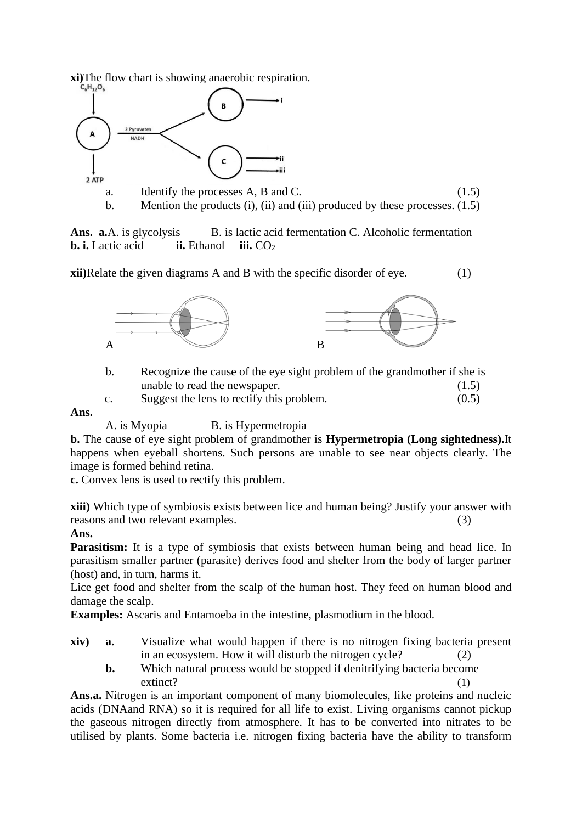**xi**)The flow chart is showing anaerobic respiration.



**Ans. a.**A. is glycolysis B. is lactic acid fermentation C. Alcoholic fermentation **b. i.** Lactic acid **ii.** Ethanol **iii.** CO<sub>2</sub>

**xii**)Relate the given diagrams A and B with the specific disorder of eye. (1)



- b. Recognize the cause of the eye sight problem of the grandmother if she is unable to read the newspaper. (1.5)
- c. Suggest the lens to rectify this problem. (0.5)

#### **Ans.**

A. is Myopia B. is Hypermetropia

**b.** The cause of eye sight problem of grandmother is **Hypermetropia (Long sightedness).**It happens when eyeball shortens. Such persons are unable to see near objects clearly. The image is formed behind retina.

**c.** Convex lens is used to rectify this problem.

**xiii)** Which type of symbiosis exists between lice and human being? Justify your answer with reasons and two relevant examples. (3)

# **Ans.**

**Parasitism:** It is a type of symbiosis that exists between human being and head lice. In parasitism smaller partner (parasite) derives food and shelter from the body of larger partner (host) and, in turn, harms it.

Lice get food and shelter from the scalp of the human host. They feed on human blood and damage the scalp.

**Examples:** Ascaris and Entamoeba in the intestine, plasmodium in the blood.

- **xiv) a.** Visualize what would happen if there is no nitrogen fixing bacteria present in an ecosystem. How it will disturb the nitrogen cycle? (2)
	- **b.** Which natural process would be stopped if denitrifying bacteria become extinct? (1)

**Ans.a.** Nitrogen is an important component of many biomolecules, like proteins and nucleic acids (DNAand RNA) so it is required for all life to exist. Living organisms cannot pickup the gaseous nitrogen directly from atmosphere. It has to be converted into nitrates to be utilised by plants. Some bacteria i.e. nitrogen fixing bacteria have the ability to transform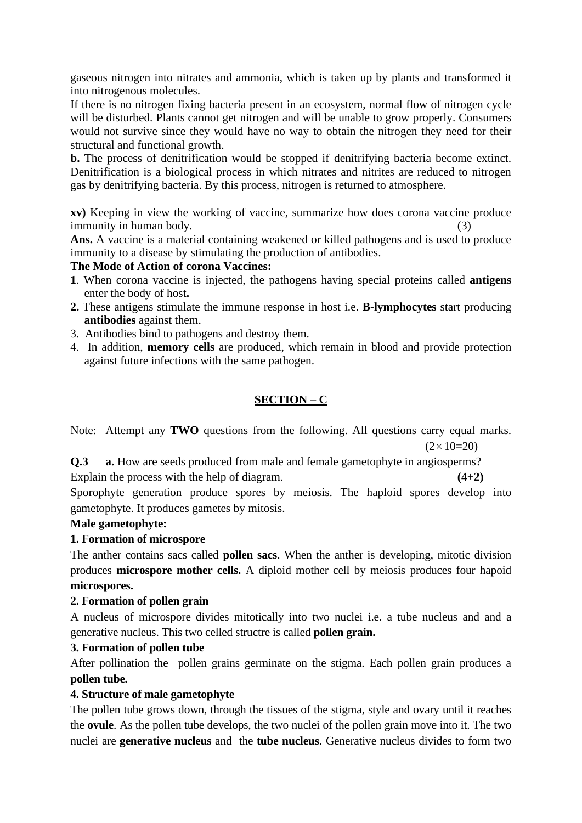gaseous nitrogen into nitrates and ammonia, which is taken up by plants and transformed it into nitrogenous molecules.

If there is no nitrogen fixing bacteria present in an ecosystem, normal flow of nitrogen cycle will be disturbed. Plants cannot get nitrogen and will be unable to grow properly. Consumers would not survive since they would have no way to obtain the nitrogen they need for their structural and functional growth.

**b.** The process of denitrification would be stopped if denitrifying bacteria become extinct. Denitrification is a biological process in which nitrates and nitrites are reduced to nitrogen gas by denitrifying bacteria. By this process, nitrogen is returned to atmosphere.

**xv)** Keeping in view the working of vaccine, summarize how does corona vaccine produce immunity in human body. (3)

**Ans.** A vaccine is a material containing weakened or killed pathogens and is used to produce immunity to a disease by stimulating the production of antibodies.

# **The Mode of Action of corona Vaccines:**

- **1**. When corona vaccine is injected, the pathogens having special proteins called **antigens**  enter the body of host**.**
- **2.** These antigens stimulate the immune response in host i.e. **B-lymphocytes** start producing **antibodies** against them.
- 3. Antibodies bind to pathogens and destroy them.
- 4. In addition, **memory cells** are produced, which remain in blood and provide protection against future infections with the same pathogen.

# **SECTION – C**

Note: Attempt any **TWO** questions from the following. All questions carry equal marks.  $(2 \times 10=20)$ 

**Q.3 a.** How are seeds produced from male and female gametophyte in angiosperms? Explain the process with the help of diagram. **(4+2)** (4+2)

Sporophyte generation produce spores by meiosis. The haploid spores develop into gametophyte. It produces gametes by mitosis.

# **Male gametophyte:**

# **1. Formation of microspore**

The anther contains sacs called **pollen sacs**. When the anther is developing, mitotic division produces **microspore mother cells.** A diploid mother cell by meiosis produces four hapoid **microspores.** 

#### **2. Formation of pollen grain**

A nucleus of microspore divides mitotically into two nuclei i.e. a tube nucleus and and a generative nucleus. This two celled structre is called **pollen grain.**

# **3. Formation of pollen tube**

After pollination the pollen grains germinate on the stigma. Each pollen grain produces a **pollen tube.**

# **4. Structure of male gametophyte**

The pollen tube grows down, through the tissues of the stigma, style and ovary until it reaches the **ovule**. As the pollen tube develops, the two nuclei of the pollen grain move into it. The two nuclei are **generative nucleus** and the **tube nucleus**. Generative nucleus divides to form two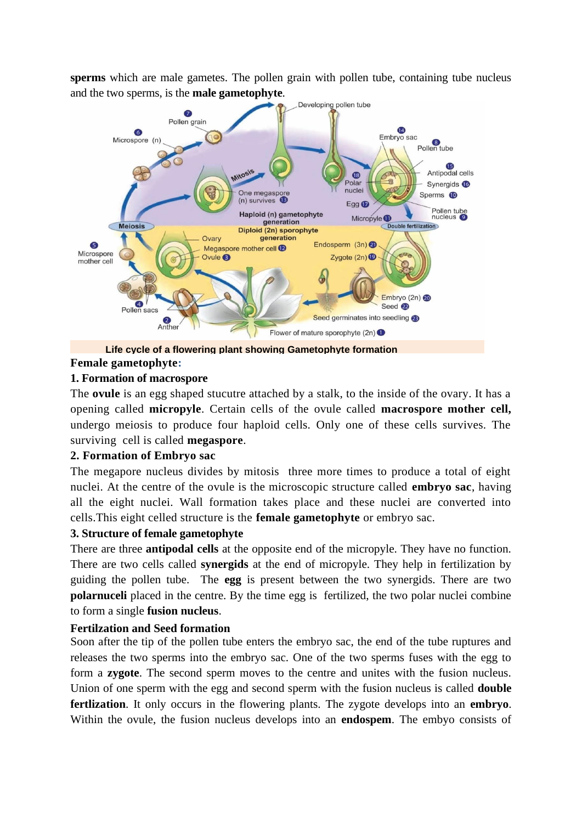**sperms** which are male gametes. The pollen grain with pollen tube, containing tube nucleus and the two sperms, is the **male gametophyte**.



**Female gametophyte: Life cycle of a flowering plant showing Gametophyte formation**

#### **1. Formation of macrospore**

The **ovule** is an egg shaped stucutre attached by a stalk, to the inside of the ovary. It has a opening called **micropyle**. Certain cells of the ovule called **macrospore mother cell,** undergo meiosis to produce four haploid cells. Only one of these cells survives. The surviving cell is called **megaspore**.

#### **2. Formation of Embryo sac**

The megapore nucleus divides by mitosis three more times to produce a total of eight nuclei. At the centre of the ovule is the microscopic structure called **embryo sac**, having all the eight nuclei. Wall formation takes place and these nuclei are converted into cells.This eight celled structure is the **female gametophyte** or embryo sac.

# **3. Structure of female gametophyte**

There are three **antipodal cells** at the opposite end of the micropyle. They have no function. There are two cells called **synergids** at the end of micropyle. They help in fertilization by guiding the pollen tube. The **egg** is present between the two synergids. There are two **polarnuceli** placed in the centre. By the time egg is fertilized, the two polar nuclei combine to form a single **fusion nucleus**.

#### **Fertilzation and Seed formation**

Soon after the tip of the pollen tube enters the embryo sac, the end of the tube ruptures and releases the two sperms into the embryo sac. One of the two sperms fuses with the egg to form a **zygote**. The second sperm moves to the centre and unites with the fusion nucleus. Union of one sperm with the egg and second sperm with the fusion nucleus is called **double fertlization**. It only occurs in the flowering plants. The zygote develops into an **embryo**. Within the ovule, the fusion nucleus develops into an **endospem**. The embyo consists of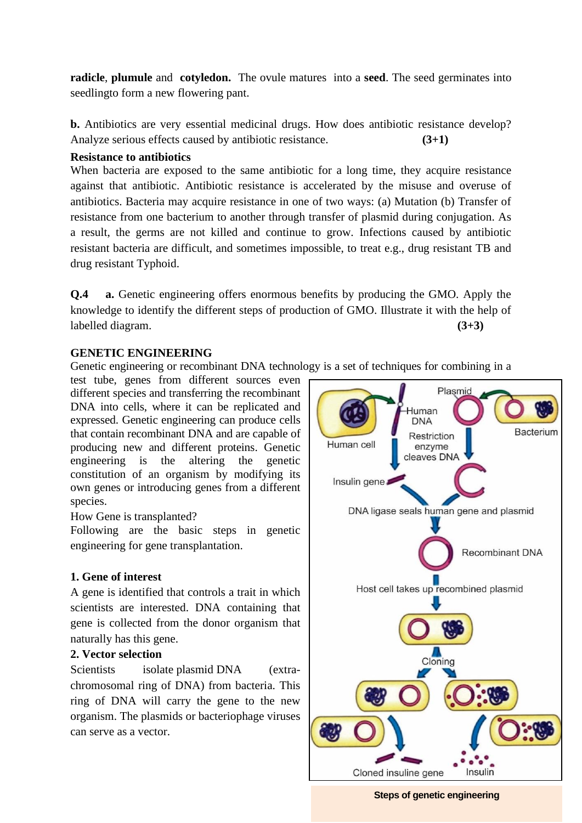**radicle**, **plumule** and **cotyledon.** The ovule matures into a **seed**. The seed germinates into seedlingto form a new flowering pant.

**b.** Antibiotics are very essential medicinal drugs. How does antibiotic resistance develop? Analyze serious effects caused by antibiotic resistance. **(3+1)**

#### **Resistance to antibiotics**

When bacteria are exposed to the same antibiotic for a long time, they acquire resistance against that antibiotic. Antibiotic resistance is accelerated by the misuse and overuse of antibiotics. Bacteria may acquire resistance in one of two ways: (a) Mutation (b) Transfer of resistance from one bacterium to another through transfer of plasmid during conjugation. As a result, the germs are not killed and continue to grow. Infections caused by antibiotic resistant bacteria are difficult, and sometimes impossible, to treat e.g., drug resistant TB and drug resistant Typhoid.

**Q.4 a.** Genetic engineering offers enormous benefits by producing the GMO. Apply the knowledge to identify the different steps of production of GMO. Illustrate it with the help of labelled diagram. **(3+3)**

#### **GENETIC ENGINEERING**

Genetic engineering or recombinant DNA technology is a set of techniques for combining in a

test tube, genes from different sources even different species and transferring the recombinant DNA into cells, where it can be replicated and expressed. Genetic engineering can produce cells that contain recombinant DNA and are capable of producing new and different proteins. Genetic engineering is the altering the genetic constitution of an organism by modifying its own genes or introducing genes from a different species.

How Gene is transplanted?

Following are the basic steps in genetic engineering for gene transplantation.

# **1. Gene of interest**

A gene is identified that controls a trait in which scientists are interested. DNA containing that gene is collected from the donor organism that naturally has this gene.

# **2. Vector selection**

Scientists isolate [plasmid](http://gregor.rutgers.edu/genetics/Week15/Lecture15-2.html) DNA (extrachromosomal ring of DNA) from bacteria. This ring of DNA will carry the gene to the new organism. The plasmids or bacteriophage viruses can serve as a vector.



**Steps of genetic engineering**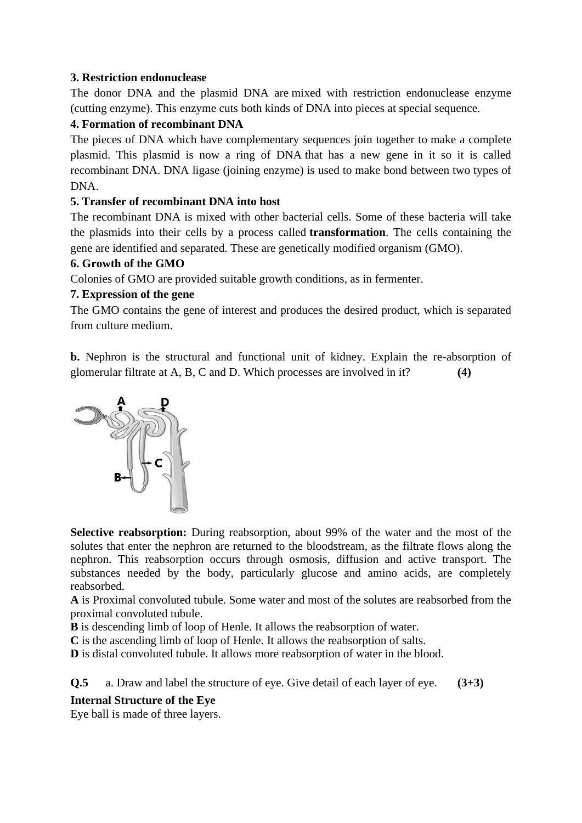# **3. Restriction endonuclease**

The donor DNA and the plasmid DNA are [mixed with restriction endonuclease enzyme](http://www.nmsu.edu/~molbio/mcb520/lecture2.html) (cutting enzyme). This [enzyme cuts](http://www.accessexcellence.org/AB/GG/restriction.html) both kinds of DNA into pieces at special sequence.

# **4. Formation of recombinant DNA**

The pieces of DNA which have complementary sequences join together to [make a complete](http://www.accessexcellence.org/AB/GG/inserting.html)  [plasmid.](http://www.accessexcellence.org/AB/GG/inserting.html) This plasmid is now a ring of DNA that has a new gene in it so it is called recombinant DNA. DNA ligase (joining enzyme) is used to make bond between two types of DNA.

# **5. Transfer of recombinant DNA into host**

The recombinant DNA is mixed with other bacterial cells. Some of these bacteria will take the plasmids into their cells by a process called **[transformation](http://www.stolaf.edu/people/chial/ges9_files/sld024.htm)**. The cells containing the gene are identified and separated. These are genetically modified organism (GMO).

# **6. Growth of the GMO**

Colonies of GMO are provided suitable growth conditions, as in fermenter.

# **7. Expression of the gene**

The GMO contains the gene of interest and produces the desired product, which is separated from culture medium.

**b.** Nephron is the structural and functional unit of kidney. Explain the re-absorption of glomerular filtrate at A, B, C and D. Which processes are involved in it? **(4)**



**Selective reabsorption:** During reabsorption, about 99% of the water and the most of the solutes that enter the nephron are returned to the bloodstream, as the filtrate flows along the nephron. This reabsorption occurs through osmosis, diffusion and active transport. The substances needed by the body, particularly glucose and amino acids, are completely reabsorbed.

**A** is Proximal convoluted tubule. Some water and most of the solutes are reabsorbed from the proximal convoluted tubule.

**B** is descending limb of loop of Henle. It allows the reabsorption of water.

**C** is the ascending limb of loop of Henle. It allows the reabsorption of salts.

**D** is distal convoluted tubule. It allows more reabsorption of water in the blood.

**Q.5** a. Draw and label the structure of eye. Give detail of each layer of eye. **(3+3)**

# **Internal Structure of the Eye**

Eye ball is made of three layers.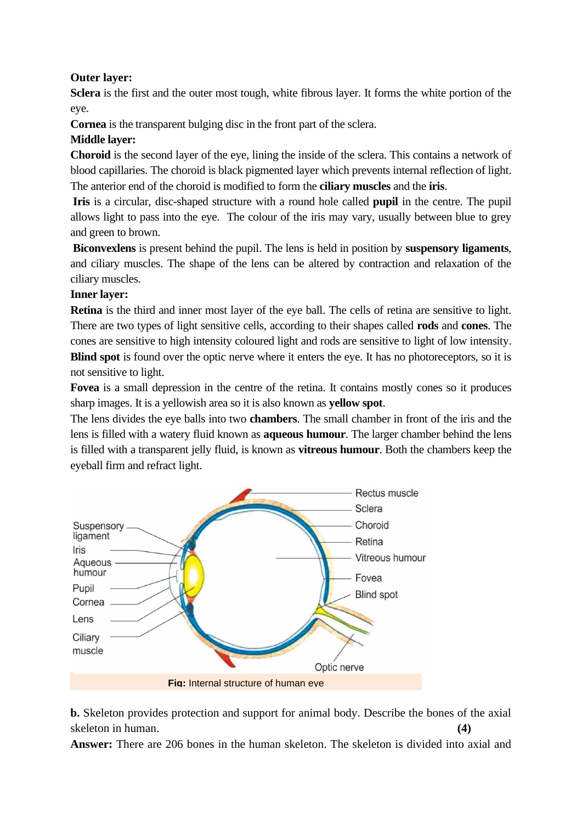# **Outer layer:**

**Sclera** is the first and the outer most tough, white fibrous layer. It forms the white portion of the eye.

**Cornea** is the transparent bulging disc in the front part of the sclera.

# **Middle layer:**

**Choroid** is the second layer of the eye, lining the inside of the sclera. This contains a network of blood capillaries. The choroid is black pigmented layer which prevents internal reflection of light. The anterior end of the choroid is modified to form the **ciliary muscles** and the **iris**.

**Iris** is a circular, disc-shaped structure with a round hole called **pupil** in the centre. The pupil allows light to pass into the eye. The colour of the iris may vary, usually between blue to grey and green to brown.

**Biconvexlens** is present behind the pupil. The lens is held in position by **suspensory ligaments**, and ciliary muscles. The shape of the lens can be altered by contraction and relaxation of the ciliary muscles.

# **Inner layer:**

**Retina** is the third and inner most layer of the eye ball. The cells of retina are sensitive to light. There are two types of light sensitive cells, according to their shapes called **rods** and **cones**. The cones are sensitive to high intensity coloured light and rods are sensitive to light of low intensity. **Blind spot** is found over the optic nerve where it enters the eye. It has no photoreceptors, so it is not sensitive to light.

**Fovea** is a small depression in the centre of the retina. It contains mostly cones so it produces sharp images. It is a yellowish area so it is also known as **yellow spot**.

The lens divides the eye balls into two **chambers**. The small chamber in front of the iris and the lens is filled with a watery fluid known as **aqueous humour**. The larger chamber behind the lens is filled with a transparent jelly fluid, is known as **vitreous humour**. Both the chambers keep the eyeball firm and refract light.



**b.** Skeleton provides protection and support for animal body. Describe the bones of the axial skeleton in human. **(4)** (4)

**Answer:** There are 206 bones in the human skeleton. The skeleton is divided into axial and